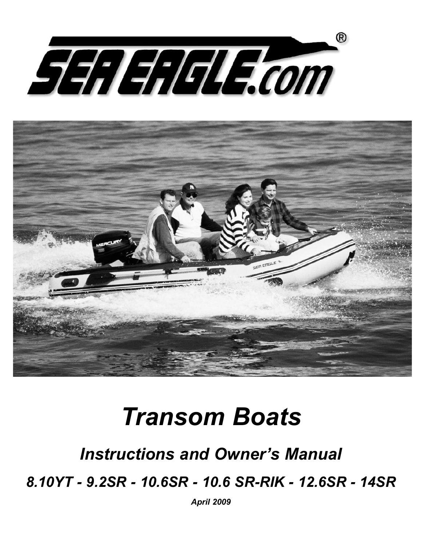



# *Transom Boats*

## *Instructions and Owner's Manual*

*8.10YT - 9.2SR - 10.6SR - 10.6 SR-RIK - 12.6SR - 14SR*

*April 2009*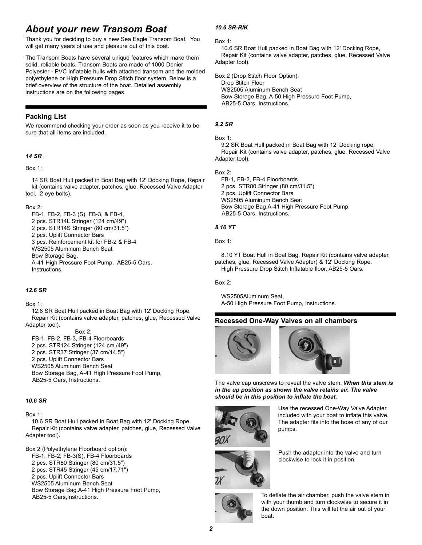## *About your new Transom Boat*

Thank you for deciding to buy a new Sea Eagle Transom Boat. You will get many years of use and pleasure out of this boat.

The Transom Boats have several unique features which make them solid, reliable boats. Transom Boats are made of 1000 Denier Polyester - PVC inflatable hulls with attached transom and the molded polyethylene or High Pressure Drop Stitch floor system. Below is a brief overview of the structure of the boat. Detailed assembly instructions are on the following pages.

#### **Packing List**

We recommend checking your order as soon as you receive it to be sure that all items are included.

#### *14 SR*

#### Box 1:

14 SR Boat Hull packed in Boat Bag with 12' Docking Rope, Repair kit (contains valve adapter, patches, glue, Recessed Valve Adapter tool, 2 eye bolts).

#### Box 2:

FB-1, FB-2, FB-3 (S), FB-3, & FB-4, 2 pcs. STR14L Stringer (124 cm/49") 2 pcs. STR14S Stringer (80 cm/31.5") 2 pcs. Uplift Connector Bars 3 pcs. Reinforcement kit for FB-2 & FB-4 WS2505 Aluminum Bench Seat Bow Storage Bag, A-41 High Pressure Foot Pump, AB25-5 Oars, **Instructions** 

#### *12.6 SR*

#### Box 1:

12.6 SR Boat Hull packed in Boat Bag with 12' Docking Rope, Repair Kit (contains valve adapter, patches, glue, Recessed Valve Adapter tool).

Box 2:

FB-1, FB-2, FB-3, FB-4 Floorboards 2 pcs. STR124 Stringer (124 cm./49") 2 pcs. STR37 Stringer (37 cm/14.5") 2 pcs. Uplift Connector Bars WS2505 Aluminum Bench Seat Bow Storage Bag, A-41 High Pressure Foot Pump, AB25-5 Oars, Instructions.

#### *10.6 SR*

#### Box 1:

10.6 SR Boat Hull packed in Boat Bag with 12' Docking Rope, Repair Kit (contains valve adapter, patches, glue, Recessed Valve Adapter tool).

Box 2 (Polyethylene Floorboard option): FB-1, FB-2, FB-3(S), FB-4 Floorboards 2 pcs. STR80 Stringer (80 cm/31.5") 2 pcs. STR45 Stringer (45 cm/17.71") 2 pcs. Uplift Connector Bars WS2505 Aluminum Bench Seat Bow Storage Bag.A-41 High Pressure Foot Pump, AB25-5 Oars,Instructions.

#### *10.6 SR-RIK*

#### Box 1:

10.6 SR Boat Hull packed in Boat Bag with 12' Docking Rope, Repair Kit (contains valve adapter, patches, glue, Recessed Valve Adapter tool).

Box 2 (Drop Stitch Floor Option): Drop Stitch Floor WS2505 Aluminum Bench Seat Bow Storage Bag, A-50 High Pressure Foot Pump, AB25-5 Oars, Instructions.

#### *9.2 SR*

#### Box 1:

9.2 SR Boat Hull packed in Boat Bag with 12' Docking rope, Repair Kit (contains valve adapter, patches, glue, Recessed Valve Adapter tool).

#### Box 2:

FB-1, FB-2, FB-4 Floorboards 2 pcs. STR80 Stringer (80 cm/31.5") 2 pcs. Uplift Connector Bars WS2505 Aluminum Bench Seat Bow Storage Bag,A-41 High Pressure Foot Pump, AB25-5 Oars, Instructions.

#### *8.10 YT*

Box 1:

8.10 YT Boat Hull in Boat Bag, Repair Kit (contains valve adapter, patches, glue, Recessed Valve Adapter) & 12' Docking Rope. High Pressure Drop Stitch Inflatable floor, AB25-5 Oars.

Box 2:

WS2505Aluminum Seat, A-50 High Pressure Foot Pump, Instructions.

#### **Recessed One-Way Valves on all chambers**



The valve cap unscrews to reveal the valve stem. *When this stem is in the up position as shown the valve retains air. The valve should be in this position to inflate the boat.*



Use the recessed One-Way Valve Adapter included with your boat to inflate this valve. The adapter fits into the hose of any of our pumps.



Push the adapter into the valve and turn clockwise to lock it in position.



To deflate the air chamber, push the valve stem in with your thumb and turn clockwise to secure it in the down position. This will let the air out of your boat.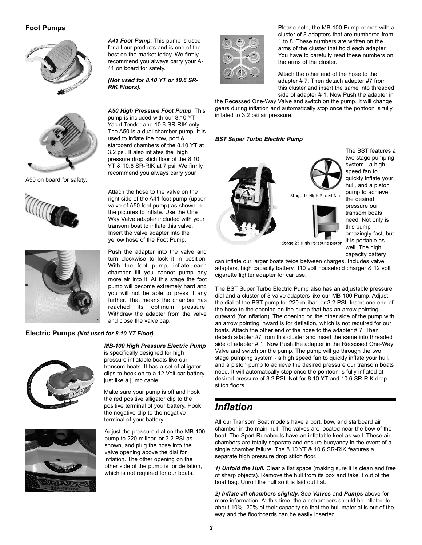#### **Foot Pumps**





A50 on board for safety.





#### **Electric Pumps** *(Not used for 8.10 YT Floor)*





*A41 Foot Pump*: This pump is used for all our products and is one of the best on the market today. We firmly recommend you always carry your A-41 on board for safety.

*(Not used for 8.10 YT or 10.6 SR-RIK Floors).*

*A50 High Pressure Foot Pump*: This pump is included with our 8.10 YT Yacht Tender and 10.6 SR-RIK only. The A50 is a dual chamber pump. It is used to inflate the bow, port & starboard chambers of the 8.10 YT at 3.2 psi. It also inflates the high pressure drop stich floor of the 8.10 YT & 10.6 SR-RIK at 7 psi. We firmly recommend you always carry your

Attach the hose to the valve on the right side of the A41 foot pump (upper valve of A50 foot pump) as shown in the pictures to inflate. Use the One Way Valve adapter included with your transom boat to inflate this valve. Insert the valve adapter into the yellow hose of the Foot Pump.

Push the adapter into the valve and turn clockwise to lock it in position. With the foot pump, inflate each chamber till you cannot pump any more air into it. At this stage the foot pump will become extremely hard and you will not be able to press it any further. That means the chamber has reached its optimum pressure. Withdraw the adapter from the valve and close the valve cap.

#### *MB-100 High Pressure Electric Pump* is specifically designed for high

pressure inflatable boats like our transom boats. It has a set of alligator clips to hook on to a 12 Volt car battery just like a jump cable.

Make sure your pump is off and hook the red positive alligator clip to the positive terminal of your battery. Hook the negative clip to the negative terminal of your battery.

Adjust the pressure dial on the MB-100 pump to 220 milibar, or 3.2 PSI as shown, and plug the hose into the valve opening above the dial for inflation. The other opening on the other side of the pump is for deflation, which is not required for our boats.



Please note, the MB-100 Pump comes with a cluster of 8 adapters that are numbered from 1 to 8. These numbers are written on the arms of the cluster that hold each adapter. You have to carefully read these numbers on the arms of the cluster.

Attach the other end of the hose to the adapter # 7. Then detach adapter #7 from this cluster and insert the same into threaded side of adapter # 1. Now Push the adapter in

the Recessed One-Way Valve and switch on the pump. It will change gears during inflation and automatically stop once the pontoon is fully inflated to 3.2 psi air pressure.

#### *BST Super Turbo Electric Pump*



The BST features a two stage pumping system - a high speed fan to quickly inflate your hull, and a piston pump to achieve the desired pressure our transom boats need. Not only is this pump amazingly fast, but it is portable as well. The high capacity battery

Stage 2: High Perssure piston

can inflate our larger boats twice between charges. Includes valve adapters, high capacity battery, 110 volt household charger & 12 volt cigarette lighter adapter for car use.

The BST Super Turbo Electric Pump also has an adjustable pressure dial and a cluster of 8 valve adapters like our MB-100 Pump. Adjust the dial of the BST pump to 220 milibar, or 3.2 PSI. Insert one end of the hose to the opening on the pump that has an arrow pointing outward (for inflation). The opening on the other side of the pump with an arrow pointing inward is for deflation, which is not required for our boats. Attach the other end of the hose to the adapter # 7. Then detach adapter #7 from this cluster and insert the same into threaded side of adapter # 1. Now Push the adapter in the Recessed One-Way Valve and switch on the pump. The pump will go through the two stage pumping system - a high speed fan to quickly inflate your hull, and a piston pump to achieve the desired pressure our transom boats need. It will automatically stop once the pontoon is fully inflated at desired pressure of 3.2 PSI. Not for 8.10 YT and 10.6 SR-RIK drop stitch floors.

## *Inflation*

All our Transom Boat models have a port, bow, and starboard air chamber in the main hull. The valves are located near the bow of the boat. The Sport Runabouts have an inflatable keel as well. These air chambers are totally separate and ensure buoyancy in the event of a single chamber failure. The 8.10 YT & 10.6 SR-RIK features a separate high pressure drop stitch floor.

*1) Unfold the Hull.* Clear a flat space (making sure it is clean and free of sharp objects). Remove the hull from its box and take it out of the boat bag. Unroll the hull so it is laid out flat.

*2) Inflate all chambers slightly.* See *Valves* and *Pumps* above for more information. At this time, the air chambers should be inflated to about 10% -20% of their capacity so that the hull material is out of the way and the floorboards can be easily inserted.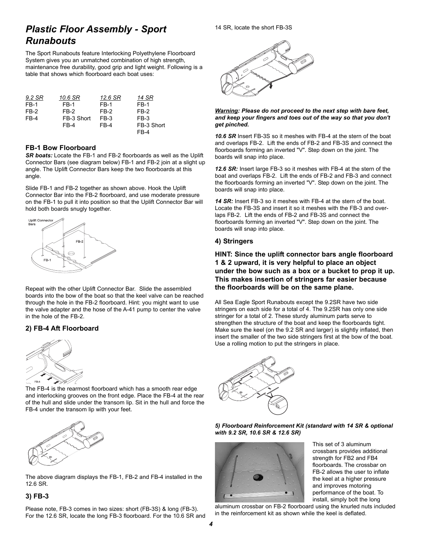## *Plastic Floor Assembly - Sport Runabouts*

The Sport Runabouts feature Interlocking Polyethylene Floorboard System gives you an unmatched combination of high strength, maintenance free durability, good grip and light weight. Following is a table that shows which floorboard each boat uses:

| 9.2 SR | 10.6 SR    | 12.6 SR | 14 SR       |
|--------|------------|---------|-------------|
| FB-1   | FB-1       | FB-1    | <b>FB-1</b> |
| FB-2   | FB-2       | FB-2    | FB-2        |
| FB-4   | FB-3 Short | FB-3    | FB-3        |
|        | FB-4       | FB-4    | FB-3 Short  |
|        |            |         | FB-4        |

#### **FB-1 Bow Floorboard**

*SR boats:* Locate the FB-1 and FB-2 floorboards as well as the Uplift Connector Bars (see diagram below) FB-1 and FB-2 join at a slight up angle. The Uplift Connector Bars keep the two floorboards at this angle.

Slide FB-1 and FB-2 together as shown above. Hook the Uplift Connector Bar into the FB-2 floorboard, and use moderate pressure on the FB-1 to pull it into position so that the Uplift Connector Bar will hold both boards snugly together.



Repeat with the other Uplift Connector Bar. Slide the assembled boards into the bow of the boat so that the keel valve can be reached through the hole in the FB-2 floorboard. Hint: you might want to use the valve adapter and the hose of the A-41 pump to center the valve in the hole of the FB-2.

#### **2) FB-4 Aft Floorboard**



The FB-4 is the rearmost floorboard which has a smooth rear edge and interlocking grooves on the front edge. Place the FB-4 at the rear of the hull and slide under the transom lip. Sit in the hull and force the FB-4 under the transom lip with your feet.



The above diagram displays the FB-1, FB-2 and FB-4 installed in the 12.6 SR.

#### **3) FB-3**

Please note, FB-3 comes in two sizes: short (FB-3S) & long (FB-3). For the 12.6 SR, locate the long FB-3 floorboard. For the 10.6 SR and



#### *Warning: Please do not proceed to the next step with bare feet, and keep your fingers and toes out of the way so that you don't get pinched.*

*10.6 SR* Insert FB-3S so it meshes with FB-4 at the stern of the boat and overlaps FB-2. Lift the ends of FB-2 and FB-3S and connect the floorboards forming an inverted "V". Step down on the joint. The boards will snap into place.

*12.6 SR:* Insert large FB-3 so it meshes with FB-4 at the stern of the boat and overlaps FB-2. Lift the ends of FB-2 and FB-3 and connect the floorboards forming an inverted "V". Step down on the joint. The boards will snap into place.

*14 SR:* Insert FB-3 so it meshes with FB-4 at the stern of the boat. Locate the FB-3S and insert it so it meshes with the FB-3 and overlaps FB-2. Lift the ends of FB-2 and FB-3S and connect the floorboards forming an inverted "V". Step down on the joint. The boards will snap into place.

#### **4) Stringers**

**HINT: Since the uplift connector bars angle floorboard 1 & 2 upward, it is very helpful to place an object under the bow such as a box or a bucket to prop it up. This makes insertion of stringers far easier because the floorboards will be on the same plane.**

All Sea Eagle Sport Runabouts except the 9.2SR have two side stringers on each side for a total of 4. The 9.2SR has only one side stringer for a total of 2. These sturdy aluminum parts serve to strengthen the structure of the boat and keep the floorboards tight. Make sure the keel (on the 9.2 SR and larger) is slightly inflated, then insert the smaller of the two side stringers first at the bow of the boat. Use a rolling motion to put the stringers in place.



*5) Floorboard Reinforcement Kit (standard with 14 SR & optional with 9.2 SR, 10.6 SR & 12.6 SR)*



This set of 3 aluminum crossbars provides additional strength for FB2 and FB4 floorboards. The crossbar on FB-2 allows the user to inflate the keel at a higher pressure and improves motoring performance of the boat. To install, simply bolt the long

aluminum crossbar on FB-2 floorboard using the knurled nuts included in the reinforcement kit as shown while the keel is deflated.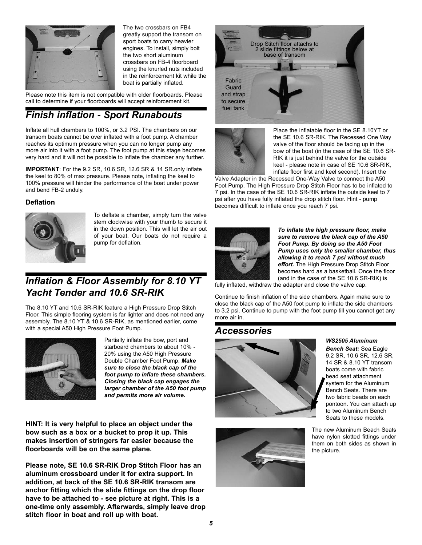

The two crossbars on FB4 greatly support the transom on sport boats to carry heavier engines. To install, simply bolt the two short aluminum crossbars on FB-4 floorboard using the knurled nuts included in the reinforcement kit while the boat is partially inflated.

Please note this item is not compatible with older floorboards. Please call to determine if your floorboards will accept reinforcement kit.

## *Finish inflation - Sport Runabouts*

Inflate all hull chambers to 100%, or 3.2 PSI. The chambers on our transom boats cannot be over inflated with a foot pump. A chamber reaches its optimum pressure when you can no longer pump any more air into it with a foot pump. The foot pump at this stage becomes very hard and it will not be possible to inflate the chamber any further.

**IMPORTANT**: For the 9.2 SR, 10.6 SR, 12.6 SR & 14 SR.only inflate the keel to 80% of max pressure. Please note, inflating the keel to 100% pressure will hinder the performance of the boat under power and bend FB-2 unduly.

#### **Deflation**



To deflate a chamber, simply turn the valve stem clockwise with your thumb to secure it in the down position. This will let the air out of your boat. Our boats do not require a pump for deflation.

## *Inflation & Floor Assembly for 8.10 YT Yacht Tender and 10.6 SR-RIK*

The 8.10 YT and 10.6 SR-RIK feature a High Pressure Drop Stitch Floor. This simple flooring system is far lighter and does not need any assembly. The 8.10 YT & 10.6 SR-RIK, as mentioned earlier, come with a special A50 High Pressure Foot Pump.



Partially inflate the bow, port and starboard chambers to about 10% - 20% using the A50 High Pressure Double Chamber Foot Pump. *Make sure to close the black cap of the foot pump to inflate these chambers. Closing the black cap engages the larger chamber of the A50 foot pump and permits more air volume.*

**HINT: It is very helpful to place an object under the bow such as a box or a bucket to prop it up. This makes insertion of stringers far easier because the floorboards will be on the same plane.**

**Please note, SE 10.6 SR-RIK Drop Stitch Floor has an aluminum crossboard under it for extra support. In addition, at back of the SE 10.6 SR-RIK transom are anchor fitting which the slide fittings on the drop floor have to be attached to - see picture at right. This is a one-time only assembly. Afterwards, simply leave drop stitch floor in boat and roll up with boat.**





Place the inflatable floor in the SE 8.10YT or the SE 10.6 SR-RIK. The Recessed One Way valve of the floor should be facing up in the bow of the boat (in the case of the SE 10.6 SR-RIK it is just behind the valve for the outside keel - please note in case of SE 10.6 SR-RIK, inflate floor first and keel second). Insert the

Valve Adapter in the Recessed One-Way Valve to connect the A50 Foot Pump. The High Pressure Drop Stitch Floor has to be inflated to 7 psi. In the case of the SE 10.6 SR-RIK inflate the outside keel to 7 psi after you have fully inflated the drop stitch floor. Hint - pump becomes difficult to inflate once you reach 7 psi.



*To inflate the high pressure floor, make sure to remove the black cap of the A50 Foot Pump. By doing so the A50 Foot Pump uses only the smaller chamber, thus allowing it to reach 7 psi without much effort.* The High Pressure Drop Stitch Floor becomes hard as a basketball. Once the floor (and in the case of the SE 10.6 SR-RIK) is

fully inflated, withdraw the adapter and close the valve cap.

Continue to finish inflation of the side chambers. Again make sure to close the black cap of the A50 foot pump to inflate the side chambers to 3.2 psi. Continue to pump with the foot pump till you cannot get any more air in.

### *Accessories*





*WS2505 Aluminum*

*Bench Seat:* Sea Eagle 9.2 SR, 10.6 SR, 12.6 SR, 14 SR & 8.10 YT transom boats come with fabric bead seat attachment system for the Aluminum Bench Seats. There are two fabric beads on each pontoon. You can attach up to two Aluminum Bench Seats to these models.

The new Aluminum Beach Seats have nylon slotted fittings under them on both sides as shown in the picture.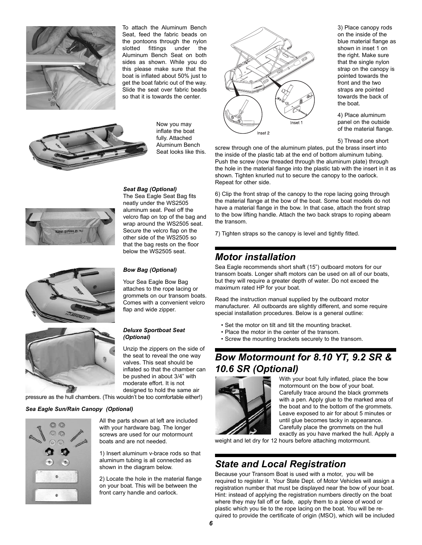

To attach the Aluminum Bench Seat, feed the fabric beads on the pontoons through the nylon slotted fittings under the Aluminum Bench Seat on both sides as shown. While you do this please make sure that the boat is inflated about 50% just to get the boat fabric out of the way. Slide the seat over fabric beads so that it is towards the center.



Now you may inflate the boat fully. Attached Aluminum Bench Seat looks like this.



3) Place canopy rods on the inside of the blue material flange as shown in inset 1 on the right. Make sure that the single nylon strap on the canopy is pointed towards the front and the two straps are pointed towards the back of the boat.

4) Place aluminum panel on the outside of the material flange.

5) Thread one short

screw through one of the aluminum plates, put the brass insert into the inside of the plastic tab at the end of bottom aluminum tubing. Push the screw (now threaded through the aluminum plate) through the hole in the material flange into the plastic tab with the insert in it as shown. Tighten knurled nut to secure the canopy to the oarlock. Repeat for other side.

6) Clip the front strap of the canopy to the rope lacing going through the material flange at the bow of the boat. Some boat models do not have a material flange in the bow. In that case, attach the front strap to the bow lifting handle. Attach the two back straps to roping abeam the transom.

7) Tighten straps so the canopy is level and tightly fitted.

## *Motor installation*

Sea Eagle recommends short shaft (15") outboard motors for our transom boats. Longer shaft motors can be used on all of our boats, but they will require a greater depth of water. Do not exceed the maximum rated HP for your boat.

Read the instruction manual supplied by the outboard motor manufacturer. All outboards are slightly different, and some require special installation procedures. Below is a general outline:

- Set the motor on tilt and tilt the mounting bracket.
- Place the motor in the center of the transom.
- Screw the mounting brackets securely to the transom.

## *Bow Motormount for 8.10 YT, 9.2 SR & 10.6 SR (Optional)*



With your boat fully inflated, place the bow motormount on the bow of your boat. Carefully trace around the black grommets with a pen. Apply glue to the marked area of the boat and to the bottom of the grommets. Leave exposed to air for about 5 minutes or until glue becomes tacky in appearance. Carefully place the grommets on the hull

exactly as you have marked the hull. Apply a weight and let dry for 12 hours before attaching motormount.

## *State and Local Registration*

Because your Transom Boat is used with a motor, you will be required to register it. Your State Dept. of Motor Vehicles will assign a registration number that must be displayed near the bow of your boat. Hint: instead of applying the registration numbers directly on the boat where they may fall off or fade, apply them to a piece of wood or plastic which you tie to the rope lacing on the boat. You will be required to provide the certificate of origin (MSO), which will be included







#### *Deluxe Sportboat Seat (Optional)*

*Bow Bag (Optional)* Your Sea Eagle Bow Bag attaches to the rope lacing or grommets on our transom boats. Comes with a convenient velcro

flap and wide zipper.

*Seat Bag (Optional)* The Sea Eagle Seat Bag fits neatly under the WS2505 aluminum seat. Peel off the velcro flap on top of the bag and wrap around the WS2505 seat. Secure the velcro flap on the other side of the WS2505 so that the bag rests on the floor below the WS2505 seat.

Unzip the zippers on the side of the seat to reveal the one way valves. This seat should be inflated so that the chamber can be pushed in about 3/4" with moderate effort. It is not designed to hold the same air

pressure as the hull chambers. (This wouldn't be too comfortable either!)

#### *Sea Eagle Sun/Rain Canopy (Optional)*



All the parts shown at left are included with your hardware bag. The longer screws are used for our motormount boats and are not needed.

1) Insert aluminum v-brace rods so that aluminum tubing is all connected as shown in the diagram below.

2) Locate the hole in the material flange on your boat. This will be between the front carry handle and oarlock.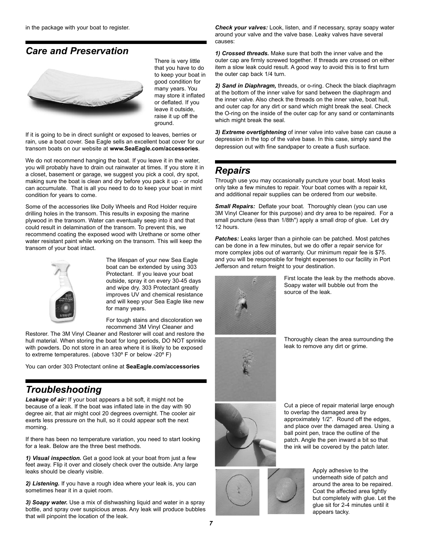## *Care and Preservation*



There is very little that you have to do to keep your boat in good condition for many years. You may store it inflated or deflated. If you leave it outside, raise it up off the ground.

If it is going to be in direct sunlight or exposed to leaves, berries or rain, use a boat cover. Sea Eagle sells an excellent boat cover for our transom boats on our website at **www.SeaEagle.com/accessories**.

We do not recommend hanging the boat. If you leave it in the water, you will probably have to drain out rainwater at times. If you store it in a closet, basement or garage, we suggest you pick a cool, dry spot, making sure the boat is clean and dry before you pack it up - or mold can accumulate. That is all you need to do to keep your boat in mint condition for years to come.

Some of the accessories like Dolly Wheels and Rod Holder require drilling holes in the transom. This results in exposing the marine plywood in the transom. Water can eventually seep into it and that could result in delamination of the transom. To prevent this, we recommend coating the exposed wood with Urethane or some other water resistant paint while working on the transom. This will keep the transom of your boat intact.



The lifespan of your new Sea Eagle boat can be extended by using 303 Protectant. If you leave your boat outside, spray it on every 30-45 days and wipe dry. 303 Protectant greatly improves UV and chemical resistance and will keep your Sea Eagle like new for many years.

For tough stains and discoloration we recommend 3M Vinyl Cleaner and

Restorer. The 3M Vinyl Cleaner and Restorer will coat and restore the hull material. When storing the boat for long periods, DO NOT sprinkle with powders. Do not store in an area where it is likely to be exposed to extreme temperatures. (above 130º F or below -20º F)

You can order 303 Protectant online at **SeaEagle.com/accessories**

## *Troubleshooting*

*Leakage of air:* If your boat appears a bit soft, it might not be because of a leak. If the boat was inflated late in the day with 90 degree air, that air might cool 20 degrees overnight. The cooler air exerts less pressure on the hull, so it could appear soft the next morning.

If there has been no temperature variation, you need to start looking for a leak. Below are the three best methods.

*1) Visual inspection.* Get a good look at your boat from just a few feet away. Flip it over and closely check over the outside. Any large leaks should be clearly visible.

*2) Listening.* If you have a rough idea where your leak is, you can sometimes hear it in a quiet room.

*3) Soapy water.* Use a mix of dishwashing liquid and water in a spray bottle, and spray over suspicious areas. Any leak will produce bubbles that will pinpoint the location of the leak.

*Check your valves:* Look, listen, and if necessary, spray soapy water around your valve and the valve base. Leaky valves have several causes:

*1) Crossed threads.* Make sure that both the inner valve and the outer cap are firmly screwed together. If threads are crossed on either item a slow leak could result. A good way to avoid this is to first turn the outer cap back 1/4 turn.

*2) Sand in Diaphragm,* threads, or o-ring. Check the black diaphragm at the bottom of the inner valve for sand between the diaphragm and the inner valve. Also check the threads on the inner valve, boat hull, and outer cap for any dirt or sand which might break the seal. Check the O-ring on the inside of the outer cap for any sand or contaminants which might break the seal.

*3) Extreme overtightening* of inner valve into valve base can cause a depression in the top of the valve base. In this case, simply sand the depression out with fine sandpaper to create a flush surface.

## *Repairs*

Through use you may occasionally puncture your boat. Most leaks only take a few minutes to repair. Your boat comes with a repair kit, and additional repair supplies can be ordered from our website.

*Small Repairs:* Deflate your boat. Thoroughly clean (you can use 3M Vinyl Cleaner for this purpose) and dry area to be repaired. For a small puncture (less than 1/8th") apply a small drop of glue. Let dry 12 hours.

*Patches:* Leaks larger than a pinhole can be patched. Most patches can be done in a few minutes, but we do offer a repair service for more complex jobs out of warranty. Our minimum repair fee is \$75. and you will be responsible for freight expenses to our facility in Port Jefferson and return freight to your destination.



First locate the leak by the methods above. Soapy water will bubble out from the source of the leak.

Thoroughly clean the area surrounding the leak to remove any dirt or grime.



Cut a piece of repair material large enough to overlap the damaged area by approximately 1/2". Round off the edges, and place over the damaged area. Using a ball point pen, trace the outline of the patch. Angle the pen inward a bit so that the ink will be covered by the patch later.



Apply adhesive to the underneath side of patch and around the area to be repaired. Coat the affected area lightly but completely with glue. Let the glue sit for 2-4 minutes until it appears tacky.